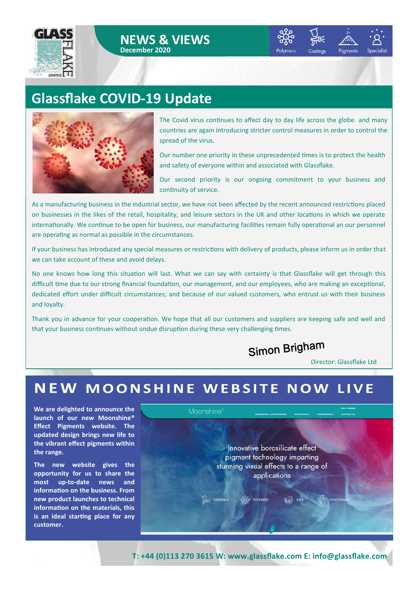





Pigments **Specialist** 

## **Glassflake COVID-19 Update**



The Covid virus continues to affect day to day life across the globe and many countries are again introducing stricter control measures in order to control the spread of the virus.

Our number one priority in these unprecedented times is to protect the health and safety of everyone within and associated with Glassflake.

Our second priority is our ongoing commitment to your business and continuity of service.

As a manufacturing business in the industrial sector, we have not been affected by the recent announced restrictions placed on businesses in the likes of the retail, hospitality, and leisure sectors in the UK and other locations in which we operate internationally. We continue to be open for business, our manufacturing facilities remain fully operational an our personnel are operating as normal as possible in the circumstances.

If your business has introduced any special measures or restrictions with delivery of products, please inform us in order that we can take account of these and avoid delays.

No one knows how long this situation will last. What we can say with certainty is that Glassflake will get through this difficult time due to our strong financial foundation, our management, and our employees, who are making an exceptional, dedicated effort under difficult circumstances; and because of our valued customers, who entrust us with their business and loyalty.

Thank you in advance for your cooperation. We hope that all our customers and suppliers are keeping safe and well and that your business continues without undue disruption during these very challenging times.

Simon Brigham

Director: Glassflake Ltd

#### NEW MOONSHINE WEBSITE NOW **LIVE**

**We are delighted to announce the launch of our new Moonshine® Effect Pigments website. The updated design brings new life to the vibrant effect pigments within the range.** 

**The new website gives the opportunity for us to share the most up-to-date news and information on the business. From new product launches to technical information on the materials, this is an ideal starting place for any customer.**